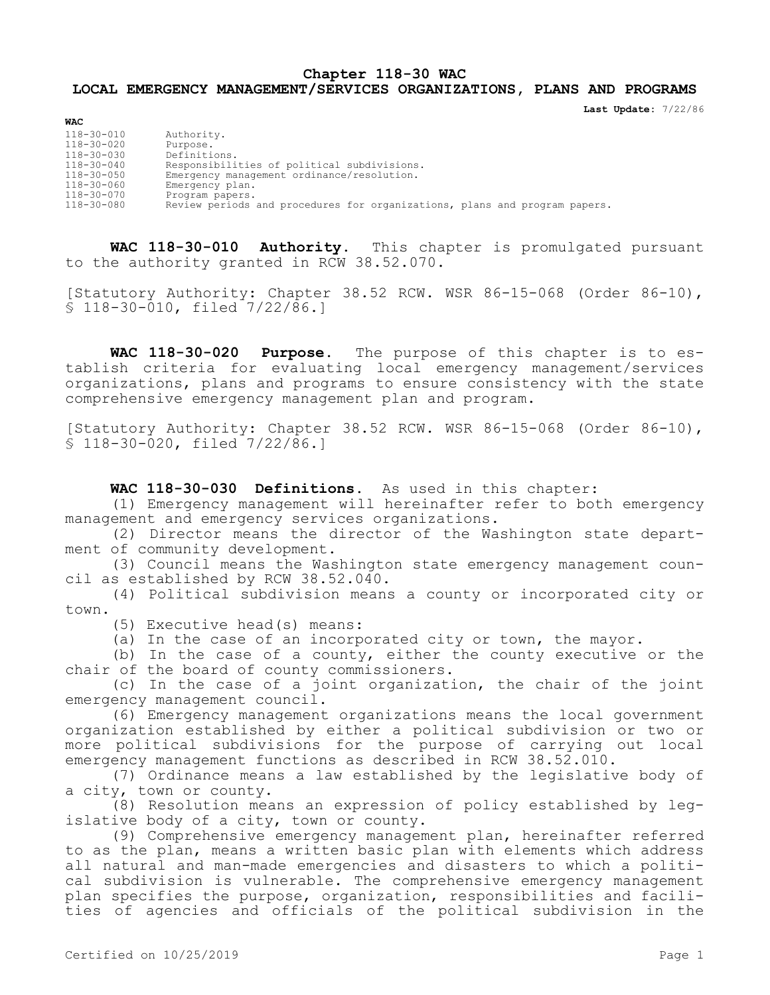## **Chapter 118-30 WAC LOCAL EMERGENCY MANAGEMENT/SERVICES ORGANIZATIONS, PLANS AND PROGRAMS**

**Last Update:** 7/22/86

| <b>WAC</b>       |                                                                            |
|------------------|----------------------------------------------------------------------------|
| 118-30-010       | Authority.                                                                 |
| 118-30-020       | Purpose.                                                                   |
| 118-30-030       | Definitions.                                                               |
| $118 - 30 - 040$ | Responsibilities of political subdivisions.                                |
| 118-30-050       | Emergency management ordinance/resolution.                                 |
| 118-30-060       | Emergency plan.                                                            |
| 118-30-070       | Program papers.                                                            |
| 118-30-080       | Review periods and procedures for organizations, plans and program papers. |

**WAC 118-30-010 Authority.** This chapter is promulgated pursuant to the authority granted in RCW 38.52.070.

[Statutory Authority: Chapter 38.52 RCW. WSR 86-15-068 (Order 86-10), § 118-30-010, filed 7/22/86.]

**WAC 118-30-020 Purpose.** The purpose of this chapter is to establish criteria for evaluating local emergency management/services organizations, plans and programs to ensure consistency with the state comprehensive emergency management plan and program.

[Statutory Authority: Chapter 38.52 RCW. WSR 86-15-068 (Order 86-10), § 118-30-020, filed 7/22/86.]

**WAC 118-30-030 Definitions.** As used in this chapter:

(1) Emergency management will hereinafter refer to both emergency management and emergency services organizations.

(2) Director means the director of the Washington state department of community development.

(3) Council means the Washington state emergency management council as established by RCW 38.52.040.

(4) Political subdivision means a county or incorporated city or town.

(5) Executive head(s) means:

(a) In the case of an incorporated city or town, the mayor.

(b) In the case of a county, either the county executive or the chair of the board of county commissioners.

(c) In the case of a joint organization, the chair of the joint emergency management council.

(6) Emergency management organizations means the local government organization established by either a political subdivision or two or more political subdivisions for the purpose of carrying out local emergency management functions as described in RCW 38.52.010.

(7) Ordinance means a law established by the legislative body of a city, town or county.

(8) Resolution means an expression of policy established by legislative body of a city, town or county.

(9) Comprehensive emergency management plan, hereinafter referred to as the plan, means a written basic plan with elements which address all natural and man-made emergencies and disasters to which a political subdivision is vulnerable. The comprehensive emergency management plan specifies the purpose, organization, responsibilities and facilities of agencies and officials of the political subdivision in the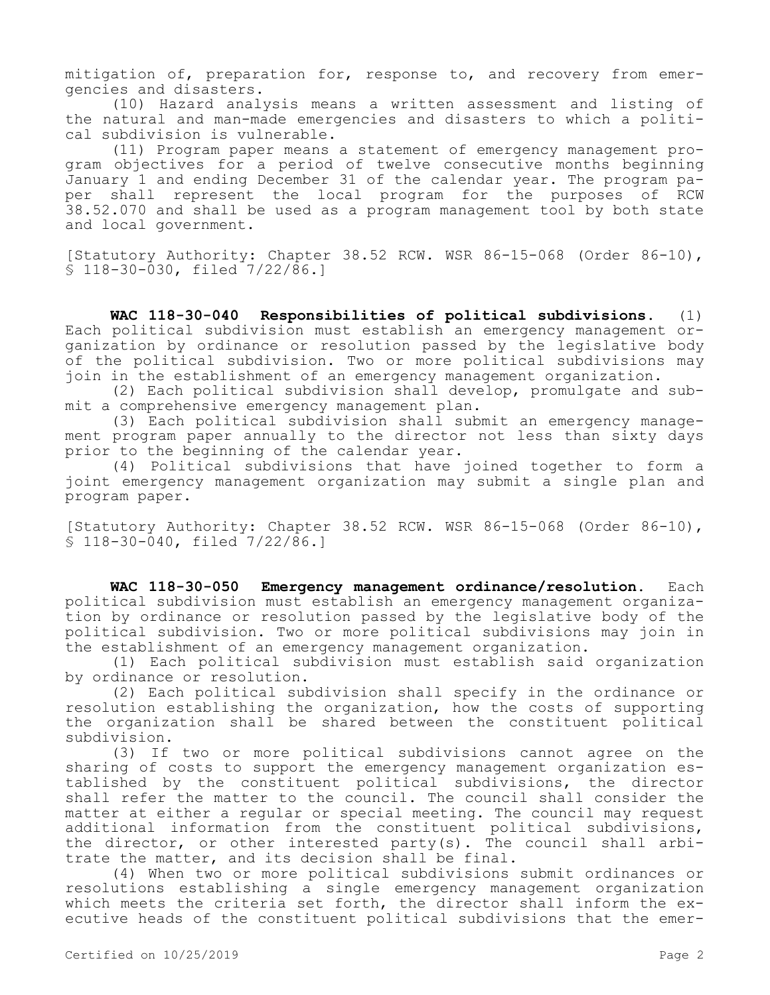mitigation of, preparation for, response to, and recovery from emergencies and disasters.

(10) Hazard analysis means a written assessment and listing of the natural and man-made emergencies and disasters to which a political subdivision is vulnerable.

(11) Program paper means a statement of emergency management program objectives for a period of twelve consecutive months beginning January 1 and ending December 31 of the calendar year. The program paper shall represent the local program for the purposes of RCW 38.52.070 and shall be used as a program management tool by both state and local government.

[Statutory Authority: Chapter 38.52 RCW. WSR 86-15-068 (Order 86-10), § 118-30-030, filed 7/22/86.]

**WAC 118-30-040 Responsibilities of political subdivisions.** (1) Each political subdivision must establish an emergency management organization by ordinance or resolution passed by the legislative body of the political subdivision. Two or more political subdivisions may join in the establishment of an emergency management organization.

(2) Each political subdivision shall develop, promulgate and submit a comprehensive emergency management plan.

(3) Each political subdivision shall submit an emergency management program paper annually to the director not less than sixty days prior to the beginning of the calendar year.

(4) Political subdivisions that have joined together to form a joint emergency management organization may submit a single plan and program paper.

[Statutory Authority: Chapter 38.52 RCW. WSR 86-15-068 (Order 86-10), § 118-30-040, filed 7/22/86.]

**WAC 118-30-050 Emergency management ordinance/resolution.** Each political subdivision must establish an emergency management organization by ordinance or resolution passed by the legislative body of the political subdivision. Two or more political subdivisions may join in the establishment of an emergency management organization.

(1) Each political subdivision must establish said organization by ordinance or resolution.

(2) Each political subdivision shall specify in the ordinance or resolution establishing the organization, how the costs of supporting the organization shall be shared between the constituent political subdivision.

(3) If two or more political subdivisions cannot agree on the sharing of costs to support the emergency management organization established by the constituent political subdivisions, the director shall refer the matter to the council. The council shall consider the matter at either a regular or special meeting. The council may request additional information from the constituent political subdivisions, the director, or other interested party(s). The council shall arbitrate the matter, and its decision shall be final.

(4) When two or more political subdivisions submit ordinances or resolutions establishing a single emergency management organization which meets the criteria set forth, the director shall inform the executive heads of the constituent political subdivisions that the emer-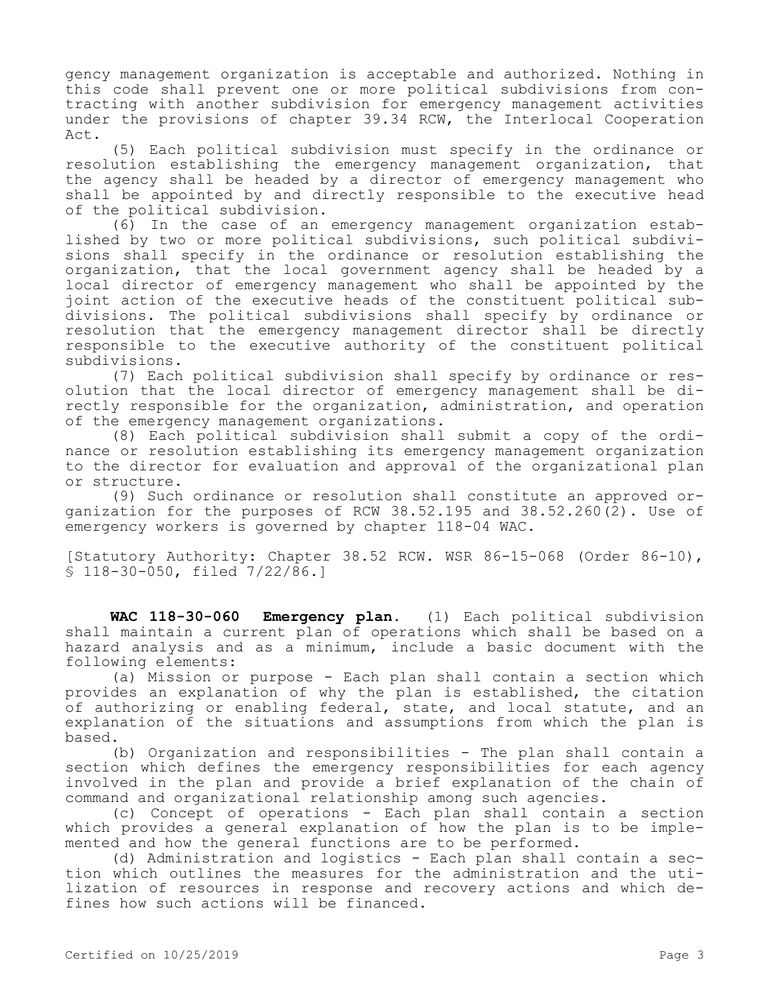gency management organization is acceptable and authorized. Nothing in this code shall prevent one or more political subdivisions from contracting with another subdivision for emergency management activities under the provisions of chapter 39.34 RCW, the Interlocal Cooperation  $Act.$ 

(5) Each political subdivision must specify in the ordinance or resolution establishing the emergency management organization, that the agency shall be headed by a director of emergency management who shall be appointed by and directly responsible to the executive head of the political subdivision.

(6) In the case of an emergency management organization established by two or more political subdivisions, such political subdivisions shall specify in the ordinance or resolution establishing the organization, that the local government agency shall be headed by a local director of emergency management who shall be appointed by the joint action of the executive heads of the constituent political subdivisions. The political subdivisions shall specify by ordinance or resolution that the emergency management director shall be directly responsible to the executive authority of the constituent political subdivisions.

(7) Each political subdivision shall specify by ordinance or resolution that the local director of emergency management shall be directly responsible for the organization, administration, and operation of the emergency management organizations.

(8) Each political subdivision shall submit a copy of the ordinance or resolution establishing its emergency management organization to the director for evaluation and approval of the organizational plan or structure.

(9) Such ordinance or resolution shall constitute an approved organization for the purposes of RCW 38.52.195 and 38.52.260 $\overline{2}$ ). Use of emergency workers is governed by chapter 118-04 WAC.

[Statutory Authority: Chapter 38.52 RCW. WSR 86-15-068 (Order 86-10), § 118-30-050, filed 7/22/86.]

**WAC 118-30-060 Emergency plan.** (1) Each political subdivision shall maintain a current plan of operations which shall be based on a hazard analysis and as a minimum, include a basic document with the following elements:

(a) Mission or purpose - Each plan shall contain a section which provides an explanation of why the plan is established, the citation of authorizing or enabling federal, state, and local statute, and an explanation of the situations and assumptions from which the plan is based.

(b) Organization and responsibilities - The plan shall contain a section which defines the emergency responsibilities for each agency involved in the plan and provide a brief explanation of the chain of command and organizational relationship among such agencies.

(c) Concept of operations - Each plan shall contain a section which provides a general explanation of how the plan is to be implemented and how the general functions are to be performed.

(d) Administration and logistics - Each plan shall contain a section which outlines the measures for the administration and the utilization of resources in response and recovery actions and which defines how such actions will be financed.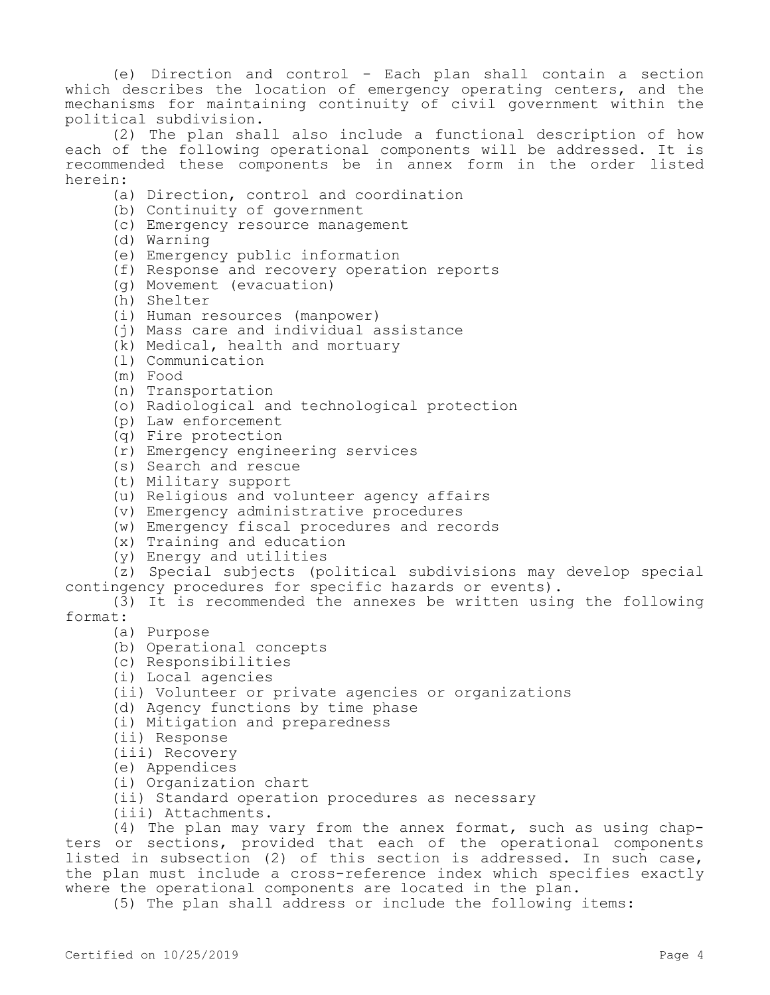(e) Direction and control - Each plan shall contain a section which describes the location of emergency operating centers, and the mechanisms for maintaining continuity of civil government within the political subdivision.

(2) The plan shall also include a functional description of how each of the following operational components will be addressed. It is recommended these components be in annex form in the order listed herein:

- (a) Direction, control and coordination
- (b) Continuity of government
- (c) Emergency resource management
- (d) Warning
- (e) Emergency public information
- (f) Response and recovery operation reports
- (g) Movement (evacuation)
- (h) Shelter
- (i) Human resources (manpower)
- (j) Mass care and individual assistance
- (k) Medical, health and mortuary
- (l) Communication
- (m) Food
- (n) Transportation
- (o) Radiological and technological protection
- (p) Law enforcement
- (q) Fire protection
- (r) Emergency engineering services
- (s) Search and rescue
- (t) Military support
- (u) Religious and volunteer agency affairs
- (v) Emergency administrative procedures
- (w) Emergency fiscal procedures and records
- (x) Training and education
- (y) Energy and utilities

(z) Special subjects (political subdivisions may develop special contingency procedures for specific hazards or events).

(3) It is recommended the annexes be written using the following format:

- (a) Purpose
- (b) Operational concepts
- (c) Responsibilities
- (i) Local agencies
- (ii) Volunteer or private agencies or organizations
- (d) Agency functions by time phase
- (i) Mitigation and preparedness
- (ii) Response
- (iii) Recovery
- (e) Appendices
- (i) Organization chart
- (ii) Standard operation procedures as necessary
- (iii) Attachments.

(4) The plan may vary from the annex format, such as using chapters or sections, provided that each of the operational components listed in subsection (2) of this section is addressed. In such case, the plan must include a cross-reference index which specifies exactly where the operational components are located in the plan.

(5) The plan shall address or include the following items: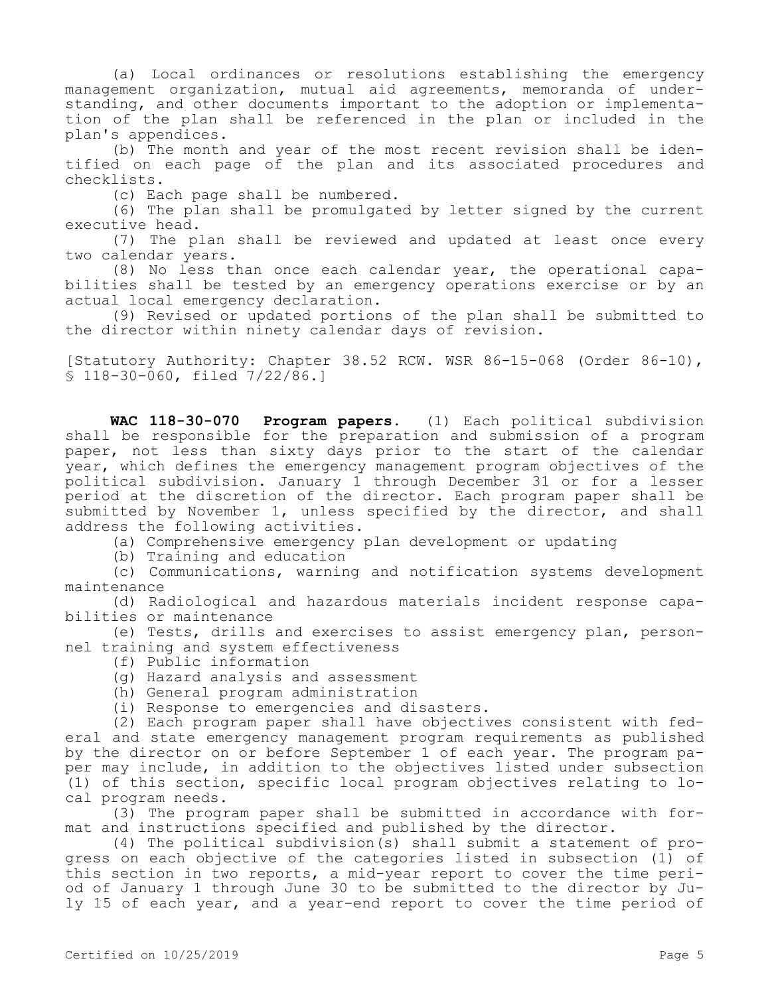(a) Local ordinances or resolutions establishing the emergency management organization, mutual aid agreements, memoranda of understanding, and other documents important to the adoption or implementation of the plan shall be referenced in the plan or included in the plan's appendices.

(b) The month and year of the most recent revision shall be identified on each page of the plan and its associated procedures and checklists.

(c) Each page shall be numbered.

(6) The plan shall be promulgated by letter signed by the current executive head.

(7) The plan shall be reviewed and updated at least once every two calendar years.

(8) No less than once each calendar year, the operational capabilities shall be tested by an emergency operations exercise or by an actual local emergency declaration.

(9) Revised or updated portions of the plan shall be submitted to the director within ninety calendar days of revision.

[Statutory Authority: Chapter 38.52 RCW. WSR 86-15-068 (Order 86-10), § 118-30-060, filed 7/22/86.]

**WAC 118-30-070 Program papers.** (1) Each political subdivision shall be responsible for the preparation and submission of a program paper, not less than sixty days prior to the start of the calendar year, which defines the emergency management program objectives of the political subdivision. January 1 through December 31 or for a lesser period at the discretion of the director. Each program paper shall be submitted by November 1, unless specified by the director, and shall address the following activities.

(a) Comprehensive emergency plan development or updating

(b) Training and education

(c) Communications, warning and notification systems development maintenance

(d) Radiological and hazardous materials incident response capabilities or maintenance

(e) Tests, drills and exercises to assist emergency plan, personnel training and system effectiveness

- (f) Public information
- (g) Hazard analysis and assessment
- (h) General program administration
- (i) Response to emergencies and disasters.

(2) Each program paper shall have objectives consistent with federal and state emergency management program requirements as published by the director on or before September 1 of each year. The program paper may include, in addition to the objectives listed under subsection (1) of this section, specific local program objectives relating to local program needs.

(3) The program paper shall be submitted in accordance with format and instructions specified and published by the director.

(4) The political subdivision(s) shall submit a statement of progress on each objective of the categories listed in subsection (1) of this section in two reports, a mid-year report to cover the time period of January 1 through June 30 to be submitted to the director by July 15 of each year, and a year-end report to cover the time period of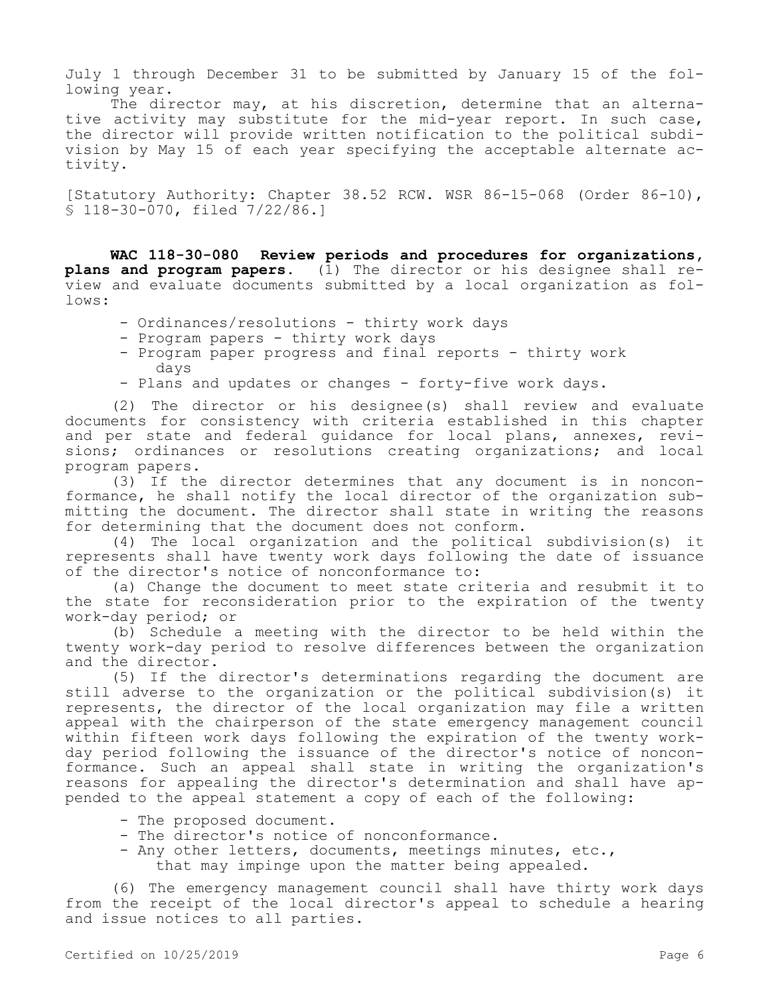July 1 through December 31 to be submitted by January 15 of the following year.

The director may, at his discretion, determine that an alternative activity may substitute for the mid-year report. In such case, the director will provide written notification to the political subdivision by May 15 of each year specifying the acceptable alternate activity.

[Statutory Authority: Chapter 38.52 RCW. WSR 86-15-068 (Order 86-10), § 118-30-070, filed 7/22/86.]

**WAC 118-30-080 Review periods and procedures for organizations, plans and program papers.** (1) The director or his designee shall review and evaluate documents submitted by a local organization as follows:

- Ordinances/resolutions thirty work days
- Program papers thirty work days
- Program paper progress and final reports thirty work days
- Plans and updates or changes forty-five work days.

(2) The director or his designee(s) shall review and evaluate documents for consistency with criteria established in this chapter and per state and federal guidance for local plans, annexes, revisions; ordinances or resolutions creating organizations; and local program papers.

(3) If the director determines that any document is in nonconformance, he shall notify the local director of the organization submitting the document. The director shall state in writing the reasons for determining that the document does not conform.

(4) The local organization and the political subdivision(s) it represents shall have twenty work days following the date of issuance of the director's notice of nonconformance to:

(a) Change the document to meet state criteria and resubmit it to the state for reconsideration prior to the expiration of the twenty work-day period; or

(b) Schedule a meeting with the director to be held within the twenty work-day period to resolve differences between the organization and the director.

(5) If the director's determinations regarding the document are still adverse to the organization or the political subdivision(s) it represents, the director of the local organization may file a written appeal with the chairperson of the state emergency management council within fifteen work days following the expiration of the twenty workday period following the issuance of the director's notice of nonconformance. Such an appeal shall state in writing the organization's reasons for appealing the director's determination and shall have appended to the appeal statement a copy of each of the following:

- The proposed document.
- The director's notice of nonconformance.
- Any other letters, documents, meetings minutes, etc., that may impinge upon the matter being appealed.

(6) The emergency management council shall have thirty work days from the receipt of the local director's appeal to schedule a hearing and issue notices to all parties.